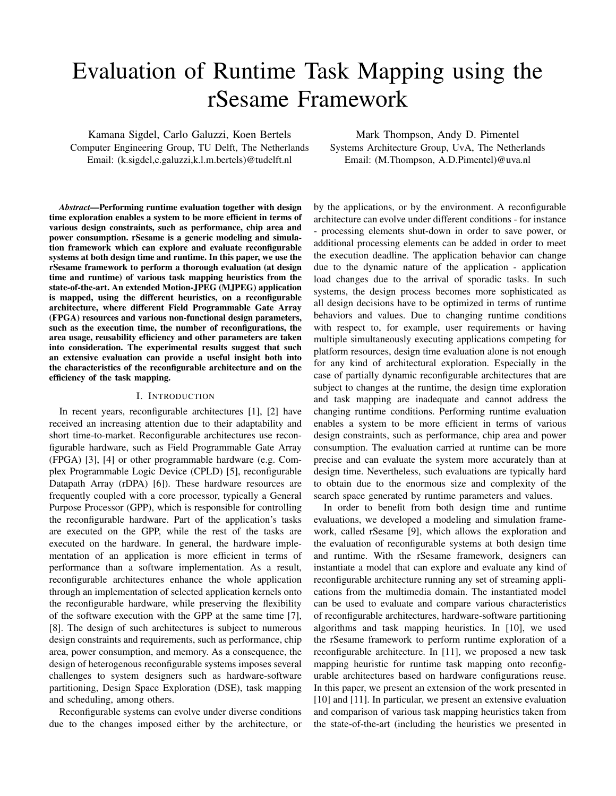# Evaluation of Runtime Task Mapping using the rSesame Framework

Kamana Sigdel, Carlo Galuzzi, Koen Bertels Computer Engineering Group, TU Delft, The Netherlands Email: (k.sigdel,c.galuzzi,k.l.m.bertels)@tudelft.nl

Mark Thompson, Andy D. Pimentel

Systems Architecture Group, UvA, The Netherlands Email: (M.Thompson, A.D.Pimentel)@uva.nl

*Abstract*—Performing runtime evaluation together with design time exploration enables a system to be more efficient in terms of various design constraints, such as performance, chip area and power consumption. rSesame is a generic modeling and simulation framework which can explore and evaluate reconfigurable systems at both design time and runtime. In this paper, we use the rSesame framework to perform a thorough evaluation (at design time and runtime) of various task mapping heuristics from the state-of-the-art. An extended Motion-JPEG (MJPEG) application is mapped, using the different heuristics, on a reconfigurable architecture, where different Field Programmable Gate Array (FPGA) resources and various non-functional design parameters, such as the execution time, the number of reconfigurations, the area usage, reusability efficiency and other parameters are taken into consideration. The experimental results suggest that such an extensive evaluation can provide a useful insight both into the characteristics of the reconfigurable architecture and on the efficiency of the task mapping.

#### I. INTRODUCTION

In recent years, reconfigurable architectures [1], [2] have received an increasing attention due to their adaptability and short time-to-market. Reconfigurable architectures use reconfigurable hardware, such as Field Programmable Gate Array (FPGA) [3], [4] or other programmable hardware (e.g. Complex Programmable Logic Device (CPLD) [5], reconfigurable Datapath Array (rDPA) [6]). These hardware resources are frequently coupled with a core processor, typically a General Purpose Processor (GPP), which is responsible for controlling the reconfigurable hardware. Part of the application's tasks are executed on the GPP, while the rest of the tasks are executed on the hardware. In general, the hardware implementation of an application is more efficient in terms of performance than a software implementation. As a result, reconfigurable architectures enhance the whole application through an implementation of selected application kernels onto the reconfigurable hardware, while preserving the flexibility of the software execution with the GPP at the same time [7], [8]. The design of such architectures is subject to numerous design constraints and requirements, such as performance, chip area, power consumption, and memory. As a consequence, the design of heterogenous reconfigurable systems imposes several challenges to system designers such as hardware-software partitioning, Design Space Exploration (DSE), task mapping and scheduling, among others.

Reconfigurable systems can evolve under diverse conditions due to the changes imposed either by the architecture, or by the applications, or by the environment. A reconfigurable architecture can evolve under different conditions - for instance - processing elements shut-down in order to save power, or additional processing elements can be added in order to meet the execution deadline. The application behavior can change due to the dynamic nature of the application - application load changes due to the arrival of sporadic tasks. In such systems, the design process becomes more sophisticated as all design decisions have to be optimized in terms of runtime behaviors and values. Due to changing runtime conditions with respect to, for example, user requirements or having multiple simultaneously executing applications competing for platform resources, design time evaluation alone is not enough for any kind of architectural exploration. Especially in the case of partially dynamic reconfigurable architectures that are subject to changes at the runtime, the design time exploration and task mapping are inadequate and cannot address the changing runtime conditions. Performing runtime evaluation enables a system to be more efficient in terms of various design constraints, such as performance, chip area and power consumption. The evaluation carried at runtime can be more precise and can evaluate the system more accurately than at design time. Nevertheless, such evaluations are typically hard to obtain due to the enormous size and complexity of the search space generated by runtime parameters and values.

In order to benefit from both design time and runtime evaluations, we developed a modeling and simulation framework, called rSesame [9], which allows the exploration and the evaluation of reconfigurable systems at both design time and runtime. With the rSesame framework, designers can instantiate a model that can explore and evaluate any kind of reconfigurable architecture running any set of streaming applications from the multimedia domain. The instantiated model can be used to evaluate and compare various characteristics of reconfigurable architectures, hardware-software partitioning algorithms and task mapping heuristics. In [10], we used the rSesame framework to perform runtime exploration of a reconfigurable architecture. In [11], we proposed a new task mapping heuristic for runtime task mapping onto reconfigurable architectures based on hardware configurations reuse. In this paper, we present an extension of the work presented in [10] and [11]. In particular, we present an extensive evaluation and comparison of various task mapping heuristics taken from the state-of-the-art (including the heuristics we presented in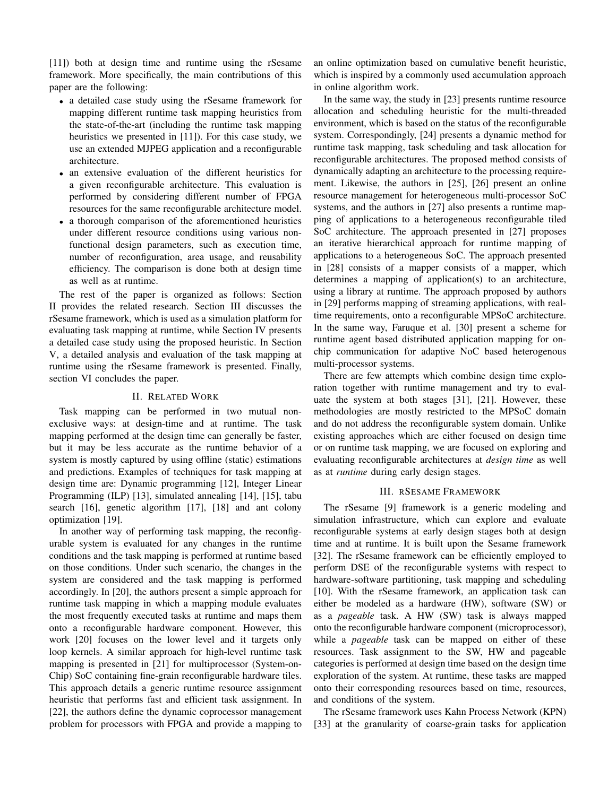[11]) both at design time and runtime using the rSesame framework. More specifically, the main contributions of this paper are the following:

- a detailed case study using the rSesame framework for mapping different runtime task mapping heuristics from the state-of-the-art (including the runtime task mapping heuristics we presented in [11]). For this case study, we use an extended MJPEG application and a reconfigurable architecture.
- an extensive evaluation of the different heuristics for a given reconfigurable architecture. This evaluation is performed by considering different number of FPGA resources for the same reconfigurable architecture model.
- a thorough comparison of the aforementioned heuristics under different resource conditions using various nonfunctional design parameters, such as execution time, number of reconfiguration, area usage, and reusability efficiency. The comparison is done both at design time as well as at runtime.

The rest of the paper is organized as follows: Section II provides the related research. Section III discusses the rSesame framework, which is used as a simulation platform for evaluating task mapping at runtime, while Section IV presents a detailed case study using the proposed heuristic. In Section V, a detailed analysis and evaluation of the task mapping at runtime using the rSesame framework is presented. Finally, section VI concludes the paper.

#### II. RELATED WORK

Task mapping can be performed in two mutual nonexclusive ways: at design-time and at runtime. The task mapping performed at the design time can generally be faster, but it may be less accurate as the runtime behavior of a system is mostly captured by using offline (static) estimations and predictions. Examples of techniques for task mapping at design time are: Dynamic programming [12], Integer Linear Programming (ILP) [13], simulated annealing [14], [15], tabu search [16], genetic algorithm [17], [18] and ant colony optimization [19].

In another way of performing task mapping, the reconfigurable system is evaluated for any changes in the runtime conditions and the task mapping is performed at runtime based on those conditions. Under such scenario, the changes in the system are considered and the task mapping is performed accordingly. In [20], the authors present a simple approach for runtime task mapping in which a mapping module evaluates the most frequently executed tasks at runtime and maps them onto a reconfigurable hardware component. However, this work [20] focuses on the lower level and it targets only loop kernels. A similar approach for high-level runtime task mapping is presented in [21] for multiprocessor (System-on-Chip) SoC containing fine-grain reconfigurable hardware tiles. This approach details a generic runtime resource assignment heuristic that performs fast and efficient task assignment. In [22], the authors define the dynamic coprocessor management problem for processors with FPGA and provide a mapping to an online optimization based on cumulative benefit heuristic, which is inspired by a commonly used accumulation approach in online algorithm work.

In the same way, the study in [23] presents runtime resource allocation and scheduling heuristic for the multi-threaded environment, which is based on the status of the reconfigurable system. Correspondingly, [24] presents a dynamic method for runtime task mapping, task scheduling and task allocation for reconfigurable architectures. The proposed method consists of dynamically adapting an architecture to the processing requirement. Likewise, the authors in [25], [26] present an online resource management for heterogeneous multi-processor SoC systems, and the authors in [27] also presents a runtime mapping of applications to a heterogeneous reconfigurable tiled SoC architecture. The approach presented in [27] proposes an iterative hierarchical approach for runtime mapping of applications to a heterogeneous SoC. The approach presented in [28] consists of a mapper consists of a mapper, which determines a mapping of application(s) to an architecture, using a library at runtime. The approach proposed by authors in [29] performs mapping of streaming applications, with realtime requirements, onto a reconfigurable MPSoC architecture. In the same way, Faruque et al. [30] present a scheme for runtime agent based distributed application mapping for onchip communication for adaptive NoC based heterogenous multi-processor systems.

There are few attempts which combine design time exploration together with runtime management and try to evaluate the system at both stages [31], [21]. However, these methodologies are mostly restricted to the MPSoC domain and do not address the reconfigurable system domain. Unlike existing approaches which are either focused on design time or on runtime task mapping, we are focused on exploring and evaluating reconfigurable architectures at *design time* as well as at *runtime* during early design stages.

#### III. RSESAME FRAMEWORK

The rSesame [9] framework is a generic modeling and simulation infrastructure, which can explore and evaluate reconfigurable systems at early design stages both at design time and at runtime. It is built upon the Sesame framework [32]. The rSesame framework can be efficiently employed to perform DSE of the reconfigurable systems with respect to hardware-software partitioning, task mapping and scheduling [10]. With the rSesame framework, an application task can either be modeled as a hardware (HW), software (SW) or as a *pageable* task. A HW (SW) task is always mapped onto the reconfigurable hardware component (microprocessor), while a *pageable* task can be mapped on either of these resources. Task assignment to the SW, HW and pageable categories is performed at design time based on the design time exploration of the system. At runtime, these tasks are mapped onto their corresponding resources based on time, resources, and conditions of the system.

The rSesame framework uses Kahn Process Network (KPN) [33] at the granularity of coarse-grain tasks for application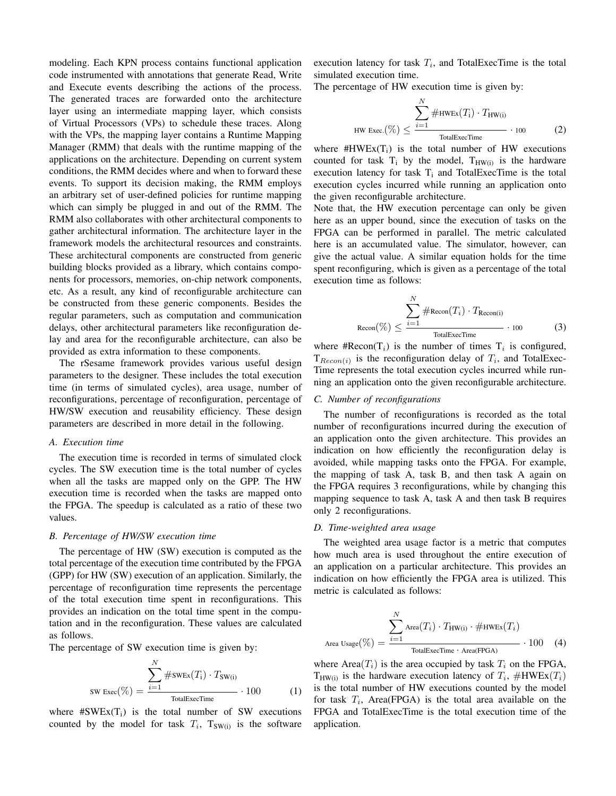modeling. Each KPN process contains functional application code instrumented with annotations that generate Read, Write and Execute events describing the actions of the process. The generated traces are forwarded onto the architecture layer using an intermediate mapping layer, which consists of Virtual Processors (VPs) to schedule these traces. Along with the VPs, the mapping layer contains a Runtime Mapping Manager (RMM) that deals with the runtime mapping of the applications on the architecture. Depending on current system conditions, the RMM decides where and when to forward these events. To support its decision making, the RMM employs an arbitrary set of user-defined policies for runtime mapping which can simply be plugged in and out of the RMM. The RMM also collaborates with other architectural components to gather architectural information. The architecture layer in the framework models the architectural resources and constraints. These architectural components are constructed from generic building blocks provided as a library, which contains components for processors, memories, on-chip network components, etc. As a result, any kind of reconfigurable architecture can be constructed from these generic components. Besides the regular parameters, such as computation and communication delays, other architectural parameters like reconfiguration delay and area for the reconfigurable architecture, can also be provided as extra information to these components.

The rSesame framework provides various useful design parameters to the designer. These includes the total execution time (in terms of simulated cycles), area usage, number of reconfigurations, percentage of reconfiguration, percentage of HW/SW execution and reusability efficiency. These design parameters are described in more detail in the following.

#### *A. Execution time*

The execution time is recorded in terms of simulated clock cycles. The SW execution time is the total number of cycles when all the tasks are mapped only on the GPP. The HW execution time is recorded when the tasks are mapped onto the FPGA. The speedup is calculated as a ratio of these two values.

## *B. Percentage of HW/SW execution time*

The percentage of HW (SW) execution is computed as the total percentage of the execution time contributed by the FPGA (GPP) for HW (SW) execution of an application. Similarly, the percentage of reconfiguration time represents the percentage of the total execution time spent in reconfigurations. This provides an indication on the total time spent in the computation and in the reconfiguration. These values are calculated as follows.

The percentage of SW execution time is given by:

$$
SW\, \text{Exec}(\%) = \frac{\sum_{i=1}^{N} \# \text{SWEx}(T_i) \cdot T_{SW(i)}}{\text{TotalExecTime}} \cdot 100 \tag{1}
$$

where  $\#SWEx(T_i)$  is the total number of SW executions counted by the model for task  $T_i$ ,  $T_{SW(i)}$  is the software

execution latency for task  $T_i$ , and TotalExecTime is the total simulated execution time.

The percentage of HW execution time is given by:

 $HW$ 

$$
\operatorname{Exec.}(\%) \leq \frac{\sum_{i=1}^{N} \# \operatorname{HWEx}(T_i) \cdot T_{\text{HW}(i)}}{\operatorname{TotalExecTime}} \cdot 100
$$
 (2)

where  $\#HWEx(T_i)$  is the total number of HW executions counted for task  $T_i$  by the model,  $T_{HW(i)}$  is the hardware execution latency for task  $T_i$  and TotalExecTime is the total execution cycles incurred while running an application onto the given reconfigurable architecture.

Note that, the HW execution percentage can only be given here as an upper bound, since the execution of tasks on the FPGA can be performed in parallel. The metric calculated here is an accumulated value. The simulator, however, can give the actual value. A similar equation holds for the time spent reconfiguring, which is given as a percentage of the total execution time as follows:

$$
\text{Recon}(\%) \leq \frac{\sum_{i=1}^{N} \# \text{Recon}(T_i) \cdot T_{\text{Recon}(i)}}{\text{TotalExecTime}} \cdot 100 \tag{3}
$$

where #Recon( $T_i$ ) is the number of times  $T_i$  is configured,  $T_{Recon(i)}$  is the reconfiguration delay of  $T_i$ , and TotalExec-Time represents the total execution cycles incurred while running an application onto the given reconfigurable architecture.

## *C. Number of reconfigurations*

The number of reconfigurations is recorded as the total number of reconfigurations incurred during the execution of an application onto the given architecture. This provides an indication on how efficiently the reconfiguration delay is avoided, while mapping tasks onto the FPGA. For example, the mapping of task A, task B, and then task A again on the FPGA requires 3 reconfigurations, while by changing this mapping sequence to task A, task A and then task B requires only 2 reconfigurations.

#### *D. Time-weighted area usage*

The weighted area usage factor is a metric that computes how much area is used throughout the entire execution of an application on a particular architecture. This provides an indication on how efficiently the FPGA area is utilized. This metric is calculated as follows:

Area Usage(
$$
\%
$$
) = 
$$
\frac{\sum_{i=1}^{N} \text{Area}(T_i) \cdot T_{HW(i)} \cdot \#HWEx(T_i)}{\text{TotalExecTime} \cdot \text{Area(FPGA)}} \cdot 100
$$
 (4)

where Area $(T_i)$  is the area occupied by task  $T_i$  on the FPGA,  $T_{HW(i)}$  is the hardware execution latency of  $T_i$ ,  $\#HWEx(T_i)$ is the total number of HW executions counted by the model for task  $T_i$ , Area(FPGA) is the total area available on the FPGA and TotalExecTime is the total execution time of the application.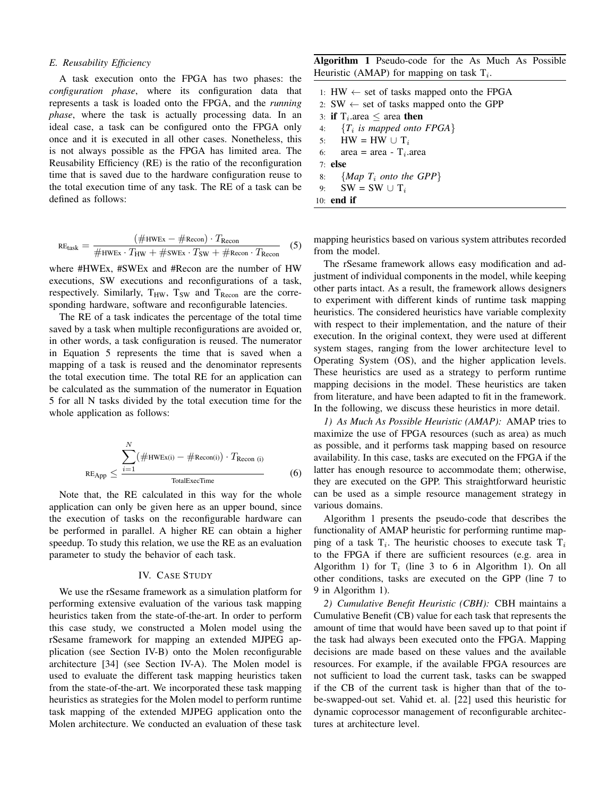#### *E. Reusability Efficiency*

A task execution onto the FPGA has two phases: the *configuration phase*, where its configuration data that represents a task is loaded onto the FPGA, and the *running phase*, where the task is actually processing data. In an ideal case, a task can be configured onto the FPGA only once and it is executed in all other cases. Nonetheless, this is not always possible as the FPGA has limited area. The Reusability Efficiency (RE) is the ratio of the reconfiguration time that is saved due to the hardware configuration reuse to the total execution time of any task. The RE of a task can be defined as follows:

RE<sub>task</sub> = 
$$
\frac{(\#HWEx - \#Recon) \cdot T_{Recon}}{\#HWEx \cdot T_{HW} + \#SWEx \cdot T_{SW} + \#Recon \cdot T_{Recon}}
$$
 (5)

where #HWEx, #SWEx and #Recon are the number of HW executions, SW executions and reconfigurations of a task, respectively. Similarly,  $T_{HW}$ ,  $T_{SW}$  and  $T_{Recon}$  are the corresponding hardware, software and reconfigurable latencies.

The RE of a task indicates the percentage of the total time saved by a task when multiple reconfigurations are avoided or, in other words, a task configuration is reused. The numerator in Equation 5 represents the time that is saved when a mapping of a task is reused and the denominator represents the total execution time. The total RE for an application can be calculated as the summation of the numerator in Equation 5 for all N tasks divided by the total execution time for the whole application as follows:

RE<sub>App</sub> 
$$
\leq \frac{\sum_{i=1}^{N} (\#HWEx(i) - \#Recon(i)) \cdot T_{Recon(i)}}{\text{TotalExecTime}}
$$
 (6)

Note that, the RE calculated in this way for the whole application can only be given here as an upper bound, since the execution of tasks on the reconfigurable hardware can be performed in parallel. A higher RE can obtain a higher speedup. To study this relation, we use the RE as an evaluation parameter to study the behavior of each task.

#### IV. CASE STUDY

We use the rSesame framework as a simulation platform for performing extensive evaluation of the various task mapping heuristics taken from the state-of-the-art. In order to perform this case study, we constructed a Molen model using the rSesame framework for mapping an extended MJPEG application (see Section IV-B) onto the Molen reconfigurable architecture [34] (see Section IV-A). The Molen model is used to evaluate the different task mapping heuristics taken from the state-of-the-art. We incorporated these task mapping heuristics as strategies for the Molen model to perform runtime task mapping of the extended MJPEG application onto the Molen architecture. We conducted an evaluation of these task Algorithm 1 Pseudo-code for the As Much As Possible Heuristic (AMAP) for mapping on task  $T_i$ .

1: HW  $\leftarrow$  set of tasks mapped onto the FPGA 2:  $SW \leftarrow$  set of tasks mapped onto the GPP 3: if  $T_i$  area  $\leq$  area then 4: {*T*<sup>i</sup> *is mapped onto FPGA*} 5: HW = HW  $\cup$  T<sub>i</sub> 6: area = area -  $T_i$ .area 7: else 8:  ${Map T_i \text{ onto the GPP}}$ 9:  $SW = SW \cup T_i$ 10: end if

mapping heuristics based on various system attributes recorded from the model.

The rSesame framework allows easy modification and adjustment of individual components in the model, while keeping other parts intact. As a result, the framework allows designers to experiment with different kinds of runtime task mapping heuristics. The considered heuristics have variable complexity with respect to their implementation, and the nature of their execution. In the original context, they were used at different system stages, ranging from the lower architecture level to Operating System (OS), and the higher application levels. These heuristics are used as a strategy to perform runtime mapping decisions in the model. These heuristics are taken from literature, and have been adapted to fit in the framework. In the following, we discuss these heuristics in more detail.

*1) As Much As Possible Heuristic (AMAP):* AMAP tries to maximize the use of FPGA resources (such as area) as much as possible, and it performs task mapping based on resource availability. In this case, tasks are executed on the FPGA if the latter has enough resource to accommodate them; otherwise, they are executed on the GPP. This straightforward heuristic can be used as a simple resource management strategy in various domains.

Algorithm 1 presents the pseudo-code that describes the functionality of AMAP heuristic for performing runtime mapping of a task  $T_i$ . The heuristic chooses to execute task  $T_i$ to the FPGA if there are sufficient resources (e.g. area in Algorithm 1) for  $T_i$  (line 3 to 6 in Algorithm 1). On all other conditions, tasks are executed on the GPP (line 7 to 9 in Algorithm 1).

*2) Cumulative Benefit Heuristic (CBH):* CBH maintains a Cumulative Benefit (CB) value for each task that represents the amount of time that would have been saved up to that point if the task had always been executed onto the FPGA. Mapping decisions are made based on these values and the available resources. For example, if the available FPGA resources are not sufficient to load the current task, tasks can be swapped if the CB of the current task is higher than that of the tobe-swapped-out set. Vahid et. al. [22] used this heuristic for dynamic coprocessor management of reconfigurable architectures at architecture level.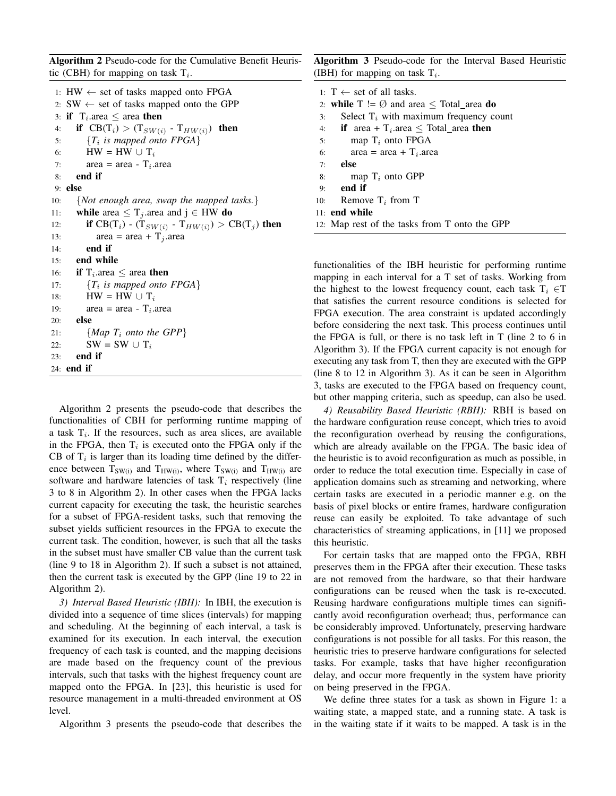Algorithm 2 Pseudo-code for the Cumulative Benefit Heuristic (CBH) for mapping on task  $T_i$ .

```
1: HW \leftarrow set of tasks mapped onto FPGA
2: SW \leftarrow set of tasks mapped onto the GPP
 3: if T_i area \leq area then
 4: if CB(T_i) > (T_{SW(i)} - T_{HW(i)}) then
 5: \{T_i \text{ is mapped onto } FPGA\}6: HW = HW \cup T<sub>i</sub>
 7: area = area - T_i.area
8: end if
9: else
10: {Not enough area, swap the mapped tasks.}
11: while area \leq T_j area and j \in HW do
12: if CB(T<sub>i</sub>) - (T<sub>SW(i)</sub> - T<sub>HW(i)</sub>) > CB(T<sub>j</sub>) then
13: area = area + \overline{T}_i area
14: end if
15: end while
16: if T<sub>i</sub>. area \leq area then
17: \{T_i \text{ is mapped onto } FPGA\}18: HW = HW \cup T<sub>i</sub>
19: area = area - T_i.area
20: else
21: \{Map\ T_i\ onto\ the\ GPP\}22: SW = SW \cup T_i23: end if
24: end if
```
Algorithm 2 presents the pseudo-code that describes the functionalities of CBH for performing runtime mapping of a task  $T_i$ . If the resources, such as area slices, are available in the FPGA, then  $T_i$  is executed onto the FPGA only if the CB of  $T_i$  is larger than its loading time defined by the difference between  $T_{SW(i)}$  and  $T_{HW(i)}$ , where  $T_{SW(i)}$  and  $T_{HW(i)}$  are software and hardware latencies of task  $T_i$  respectively (line 3 to 8 in Algorithm 2). In other cases when the FPGA lacks current capacity for executing the task, the heuristic searches for a subset of FPGA-resident tasks, such that removing the subset yields sufficient resources in the FPGA to execute the current task. The condition, however, is such that all the tasks in the subset must have smaller CB value than the current task (line 9 to 18 in Algorithm 2). If such a subset is not attained, then the current task is executed by the GPP (line 19 to 22 in Algorithm 2).

*3) Interval Based Heuristic (IBH):* In IBH, the execution is divided into a sequence of time slices (intervals) for mapping and scheduling. At the beginning of each interval, a task is examined for its execution. In each interval, the execution frequency of each task is counted, and the mapping decisions are made based on the frequency count of the previous intervals, such that tasks with the highest frequency count are mapped onto the FPGA. In [23], this heuristic is used for resource management in a multi-threaded environment at OS level.

Algorithm 3 presents the pseudo-code that describes the

Algorithm 3 Pseudo-code for the Interval Based Heuristic (IBH) for mapping on task  $T_i$ .

|    | 1: T ← set of all tasks.                                |
|----|---------------------------------------------------------|
|    | 2: while T != $\emptyset$ and area $\leq$ Total_area do |
| 3: | Select $T_i$ with maximum frequency count               |
|    | 4: if area + $T_i$ area $\le$ Total area then           |
| 5: | map $T_i$ onto FPGA                                     |
| 6: | area = area + $T_i$ .area                               |
| 7: | else                                                    |
|    | map $T_i$ onto GPP<br>8:                                |
| 9: | end if                                                  |
|    | 10: Remove $T_i$ from T                                 |
|    | 11: <b>end while</b>                                    |
|    | 12: Map rest of the tasks from T onto the GPP           |
|    |                                                         |

functionalities of the IBH heuristic for performing runtime mapping in each interval for a T set of tasks. Working from the highest to the lowest frequency count, each task  $T_i \in T$ that satisfies the current resource conditions is selected for FPGA execution. The area constraint is updated accordingly before considering the next task. This process continues until the FPGA is full, or there is no task left in T (line 2 to 6 in Algorithm 3). If the FPGA current capacity is not enough for executing any task from T, then they are executed with the GPP (line 8 to 12 in Algorithm 3). As it can be seen in Algorithm 3, tasks are executed to the FPGA based on frequency count, but other mapping criteria, such as speedup, can also be used.

*4) Reusability Based Heuristic (RBH):* RBH is based on the hardware configuration reuse concept, which tries to avoid the reconfiguration overhead by reusing the configurations, which are already available on the FPGA. The basic idea of the heuristic is to avoid reconfiguration as much as possible, in order to reduce the total execution time. Especially in case of application domains such as streaming and networking, where certain tasks are executed in a periodic manner e.g. on the basis of pixel blocks or entire frames, hardware configuration reuse can easily be exploited. To take advantage of such characteristics of streaming applications, in [11] we proposed this heuristic.

For certain tasks that are mapped onto the FPGA, RBH preserves them in the FPGA after their execution. These tasks are not removed from the hardware, so that their hardware configurations can be reused when the task is re-executed. Reusing hardware configurations multiple times can significantly avoid reconfiguration overhead; thus, performance can be considerably improved. Unfortunately, preserving hardware configurations is not possible for all tasks. For this reason, the heuristic tries to preserve hardware configurations for selected tasks. For example, tasks that have higher reconfiguration delay, and occur more frequently in the system have priority on being preserved in the FPGA.

We define three states for a task as shown in Figure 1: a waiting state, a mapped state, and a running state. A task is in the waiting state if it waits to be mapped. A task is in the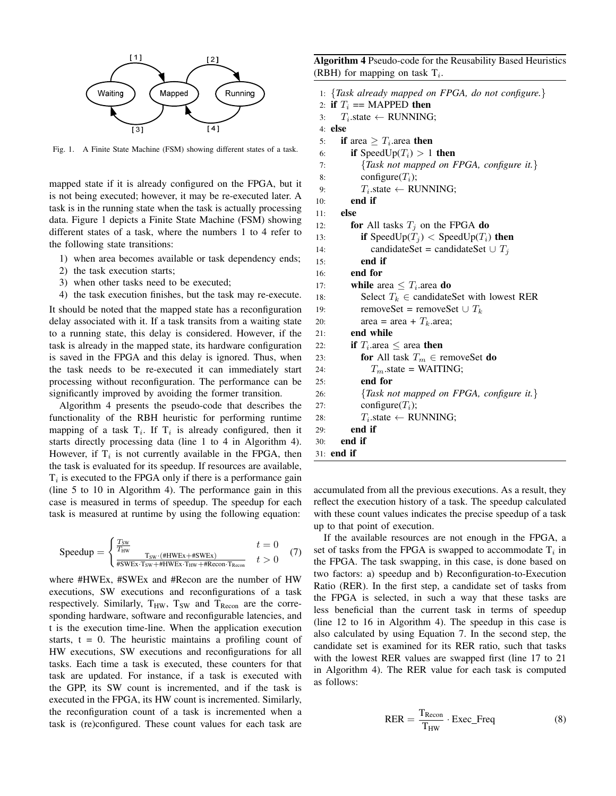

Fig. 1. A Finite State Machine (FSM) showing different states of a task.

mapped state if it is already configured on the FPGA, but it is not being executed; however, it may be re-executed later. A task is in the running state when the task is actually processing data. Figure 1 depicts a Finite State Machine (FSM) showing different states of a task, where the numbers 1 to 4 refer to the following state transitions:

- 1) when area becomes available or task dependency ends;
- 2) the task execution starts;
- 3) when other tasks need to be executed;
- 4) the task execution finishes, but the task may re-execute.

It should be noted that the mapped state has a reconfiguration delay associated with it. If a task transits from a waiting state to a running state, this delay is considered. However, if the task is already in the mapped state, its hardware configuration is saved in the FPGA and this delay is ignored. Thus, when the task needs to be re-executed it can immediately start processing without reconfiguration. The performance can be significantly improved by avoiding the former transition.

Algorithm 4 presents the pseudo-code that describes the functionality of the RBH heuristic for performing runtime mapping of a task  $T_i$ . If  $T_i$  is already configured, then it starts directly processing data (line 1 to 4 in Algorithm 4). However, if  $T_i$  is not currently available in the FPGA, then the task is evaluated for its speedup. If resources are available,  $T_i$  is executed to the FPGA only if there is a performance gain (line 5 to 10 in Algorithm 4). The performance gain in this case is measured in terms of speedup. The speedup for each task is measured at runtime by using the following equation:

$$
\text{Speedup} = \begin{cases} \frac{T_{\text{SW}}}{T_{\text{HW}}} & t = 0\\ \frac{T_{\text{SW}} \cdot (\# \text{HWEx} + \# \text{SWEx})}{\# \text{SWEx} \cdot T_{\text{SW}} + \# \text{HWEx} \cdot T_{\text{HW}} + \# \text{Recon} \cdot T_{\text{Recon}}} & t > 0 \end{cases} \tag{7}
$$

where #HWEx, #SWEx and #Recon are the number of HW executions, SW executions and reconfigurations of a task respectively. Similarly,  $T_{HW}$ ,  $T_{SW}$  and  $T_{Recon}$  are the corresponding hardware, software and reconfigurable latencies, and t is the execution time-line. When the application execution starts,  $t = 0$ . The heuristic maintains a profiling count of HW executions, SW executions and reconfigurations for all tasks. Each time a task is executed, these counters for that task are updated. For instance, if a task is executed with the GPP, its SW count is incremented, and if the task is executed in the FPGA, its HW count is incremented. Similarly, the reconfiguration count of a task is incremented when a task is (re)configured. These count values for each task are Algorithm 4 Pseudo-code for the Reusability Based Heuristics (RBH) for mapping on task  $T_i$ .

1: {*Task already mapped on FPGA, do not configure.*}

2: if  $T_i$  == MAPPED then

3:  $T_i$  state  $\leftarrow$  RUNNING;

```
4: else
```
- 5: if area  $\geq T_i$  area then
- 6: if SpeedUp( $T_i$ ) > 1 then
- 7: {*Task not mapped on FPGA, configure it.*}
- 8: configure $(T_i)$ ;

9:  $T_i$  state  $\leftarrow$  RUNNING;

10: end if

```
11: else
12: for All tasks T_i on the FPGA do
13: if SpeedUp(T_j) < SpeedUp(T_i) then
14: candidateSet = candidateSet ∪ T_j15: end if
16: end for
17: while area \leq T_i area do
18: Select T_k \in \text{candidateSet with lowest RER}19: removeSet = removeSet ∪ T_k20: area = area + T_k.area;
21: end while
22: if T_i area \leq area then
23: for All task T_m \in removeSet do
24: T_m.state = WAITING;
25: end for
26: {Task not mapped on FPGA, configure it.}
27: configure(T_i);
28: T_i.state \leftarrow RUNNING;
29: end if
30: end if
31: end if
```
accumulated from all the previous executions. As a result, they reflect the execution history of a task. The speedup calculated with these count values indicates the precise speedup of a task up to that point of execution.

If the available resources are not enough in the FPGA, a set of tasks from the FPGA is swapped to accommodate  $T_i$  in the FPGA. The task swapping, in this case, is done based on two factors: a) speedup and b) Reconfiguration-to-Execution Ratio (RER). In the first step, a candidate set of tasks from the FPGA is selected, in such a way that these tasks are less beneficial than the current task in terms of speedup (line 12 to 16 in Algorithm 4). The speedup in this case is also calculated by using Equation 7. In the second step, the candidate set is examined for its RER ratio, such that tasks with the lowest RER values are swapped first (line 17 to 21 in Algorithm 4). The RER value for each task is computed as follows:

$$
RER = \frac{T_{Recon}}{T_{HW}} \cdot Excel\_Freq
$$
 (8)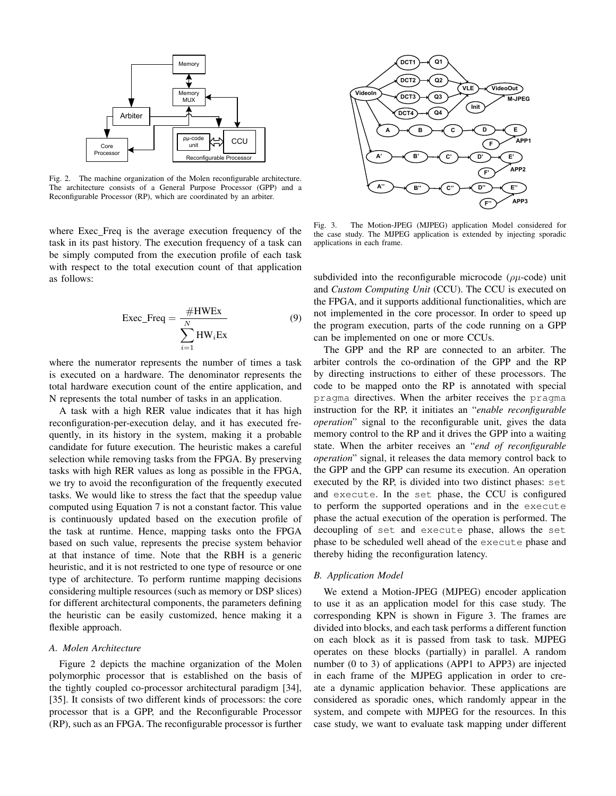

Fig. 2. The machine organization of the Molen reconfigurable architecture. The architecture consists of a General Purpose Processor (GPP) and a Reconfigurable Processor (RP), which are coordinated by an arbiter.

where Exec\_Freq is the average execution frequency of the task in its past history. The execution frequency of a task can be simply computed from the execution profile of each task with respect to the total execution count of that application as follows:

$$
Exec\_Freq = \frac{\#HWEx}{\sum_{i=1}^{N} HW_iEx}
$$
 (9)

where the numerator represents the number of times a task is executed on a hardware. The denominator represents the total hardware execution count of the entire application, and N represents the total number of tasks in an application.

A task with a high RER value indicates that it has high reconfiguration-per-execution delay, and it has executed frequently, in its history in the system, making it a probable candidate for future execution. The heuristic makes a careful selection while removing tasks from the FPGA. By preserving tasks with high RER values as long as possible in the FPGA, we try to avoid the reconfiguration of the frequently executed tasks. We would like to stress the fact that the speedup value computed using Equation 7 is not a constant factor. This value is continuously updated based on the execution profile of the task at runtime. Hence, mapping tasks onto the FPGA based on such value, represents the precise system behavior at that instance of time. Note that the RBH is a generic heuristic, and it is not restricted to one type of resource or one type of architecture. To perform runtime mapping decisions considering multiple resources (such as memory or DSP slices) for different architectural components, the parameters defining the heuristic can be easily customized, hence making it a flexible approach.

# *A. Molen Architecture*

Figure 2 depicts the machine organization of the Molen polymorphic processor that is established on the basis of the tightly coupled co-processor architectural paradigm [34], [35]. It consists of two different kinds of processors: the core processor that is a GPP, and the Reconfigurable Processor (RP), such as an FPGA. The reconfigurable processor is further



Fig. 3. The Motion-JPEG (MJPEG) application Model considered for the case study. The MJPEG application is extended by injecting sporadic applications in each frame.

subdivided into the reconfigurable microcode ( $\rho\mu$ -code) unit and *Custom Computing Unit* (CCU). The CCU is executed on the FPGA, and it supports additional functionalities, which are not implemented in the core processor. In order to speed up the program execution, parts of the code running on a GPP can be implemented on one or more CCUs.

The GPP and the RP are connected to an arbiter. The arbiter controls the co-ordination of the GPP and the RP by directing instructions to either of these processors. The code to be mapped onto the RP is annotated with special pragma directives. When the arbiter receives the pragma instruction for the RP, it initiates an "*enable reconfigurable operation*" signal to the reconfigurable unit, gives the data memory control to the RP and it drives the GPP into a waiting state. When the arbiter receives an "*end of reconfigurable operation*" signal, it releases the data memory control back to the GPP and the GPP can resume its execution. An operation executed by the RP, is divided into two distinct phases: set and execute. In the set phase, the CCU is configured to perform the supported operations and in the execute phase the actual execution of the operation is performed. The decoupling of set and execute phase, allows the set phase to be scheduled well ahead of the execute phase and thereby hiding the reconfiguration latency.

#### *B. Application Model*

We extend a Motion-JPEG (MJPEG) encoder application to use it as an application model for this case study. The corresponding KPN is shown in Figure 3. The frames are divided into blocks, and each task performs a different function on each block as it is passed from task to task. MJPEG operates on these blocks (partially) in parallel. A random number (0 to 3) of applications (APP1 to APP3) are injected in each frame of the MJPEG application in order to create a dynamic application behavior. These applications are considered as sporadic ones, which randomly appear in the system, and compete with MJPEG for the resources. In this case study, we want to evaluate task mapping under different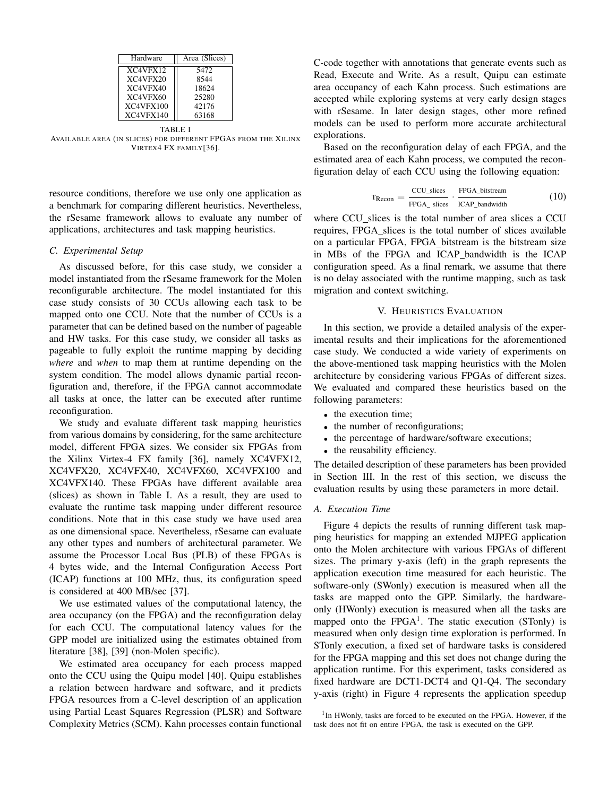| Hardware  | Area (Slices) |
|-----------|---------------|
| XC4VFX12  | 5472          |
| XC4VFX20  | 8544          |
| XC4VFX40  | 18624         |
| XC4VFX60  | 25280         |
| XC4VFX100 | 42176         |
| XC4VFX140 | 63168         |

TABLE I AVAILABLE AREA (IN SLICES) FOR DIFFERENT FPGAS FROM THE XILINX VIRTEX4 FX FAMILY[36].

resource conditions, therefore we use only one application as a benchmark for comparing different heuristics. Nevertheless, the rSesame framework allows to evaluate any number of applications, architectures and task mapping heuristics.

#### *C. Experimental Setup*

As discussed before, for this case study, we consider a model instantiated from the rSesame framework for the Molen reconfigurable architecture. The model instantiated for this case study consists of 30 CCUs allowing each task to be mapped onto one CCU. Note that the number of CCUs is a parameter that can be defined based on the number of pageable and HW tasks. For this case study, we consider all tasks as pageable to fully exploit the runtime mapping by deciding *where* and *when* to map them at runtime depending on the system condition. The model allows dynamic partial reconfiguration and, therefore, if the FPGA cannot accommodate all tasks at once, the latter can be executed after runtime reconfiguration.

We study and evaluate different task mapping heuristics from various domains by considering, for the same architecture model, different FPGA sizes. We consider six FPGAs from the Xilinx Virtex-4 FX family [36], namely XC4VFX12, XC4VFX20, XC4VFX40, XC4VFX60, XC4VFX100 and XC4VFX140. These FPGAs have different available area (slices) as shown in Table I. As a result, they are used to evaluate the runtime task mapping under different resource conditions. Note that in this case study we have used area as one dimensional space. Nevertheless, rSesame can evaluate any other types and numbers of architectural parameter. We assume the Processor Local Bus (PLB) of these FPGAs is 4 bytes wide, and the Internal Configuration Access Port (ICAP) functions at 100 MHz, thus, its configuration speed is considered at 400 MB/sec [37].

We use estimated values of the computational latency, the area occupancy (on the FPGA) and the reconfiguration delay for each CCU. The computational latency values for the GPP model are initialized using the estimates obtained from literature [38], [39] (non-Molen specific).

We estimated area occupancy for each process mapped onto the CCU using the Quipu model [40]. Quipu establishes a relation between hardware and software, and it predicts FPGA resources from a C-level description of an application using Partial Least Squares Regression (PLSR) and Software Complexity Metrics (SCM). Kahn processes contain functional C-code together with annotations that generate events such as Read, Execute and Write. As a result, Quipu can estimate area occupancy of each Kahn process. Such estimations are accepted while exploring systems at very early design stages with rSesame. In later design stages, other more refined models can be used to perform more accurate architectural explorations.

Based on the reconfiguration delay of each FPGA, and the estimated area of each Kahn process, we computed the reconfiguration delay of each CCU using the following equation:

$$
T_{\text{Recon}} = \frac{\text{CCU\_slices}}{\text{FPGA\_slices}} \cdot \frac{\text{FPGA\_bitsream}}{\text{ICAP\_bandwidth}} \tag{10}
$$

where CCU slices is the total number of area slices a CCU requires, FPGA slices is the total number of slices available on a particular FPGA, FPGA bitstream is the bitstream size in MBs of the FPGA and ICAP bandwidth is the ICAP configuration speed. As a final remark, we assume that there is no delay associated with the runtime mapping, such as task migration and context switching.

# V. HEURISTICS EVALUATION

In this section, we provide a detailed analysis of the experimental results and their implications for the aforementioned case study. We conducted a wide variety of experiments on the above-mentioned task mapping heuristics with the Molen architecture by considering various FPGAs of different sizes. We evaluated and compared these heuristics based on the following parameters:

- the execution time;
- the number of reconfigurations;
- the percentage of hardware/software executions;
- the reusability efficiency.

The detailed description of these parameters has been provided in Section III. In the rest of this section, we discuss the evaluation results by using these parameters in more detail.

#### *A. Execution Time*

Figure 4 depicts the results of running different task mapping heuristics for mapping an extended MJPEG application onto the Molen architecture with various FPGAs of different sizes. The primary y-axis (left) in the graph represents the application execution time measured for each heuristic. The software-only (SWonly) execution is measured when all the tasks are mapped onto the GPP. Similarly, the hardwareonly (HWonly) execution is measured when all the tasks are mapped onto the FPGA<sup>1</sup>. The static execution (STonly) is measured when only design time exploration is performed. In STonly execution, a fixed set of hardware tasks is considered for the FPGA mapping and this set does not change during the application runtime. For this experiment, tasks considered as fixed hardware are DCT1-DCT4 and Q1-Q4. The secondary y-axis (right) in Figure 4 represents the application speedup

<sup>1</sup>In HWonly, tasks are forced to be executed on the FPGA. However, if the task does not fit on entire FPGA, the task is executed on the GPP.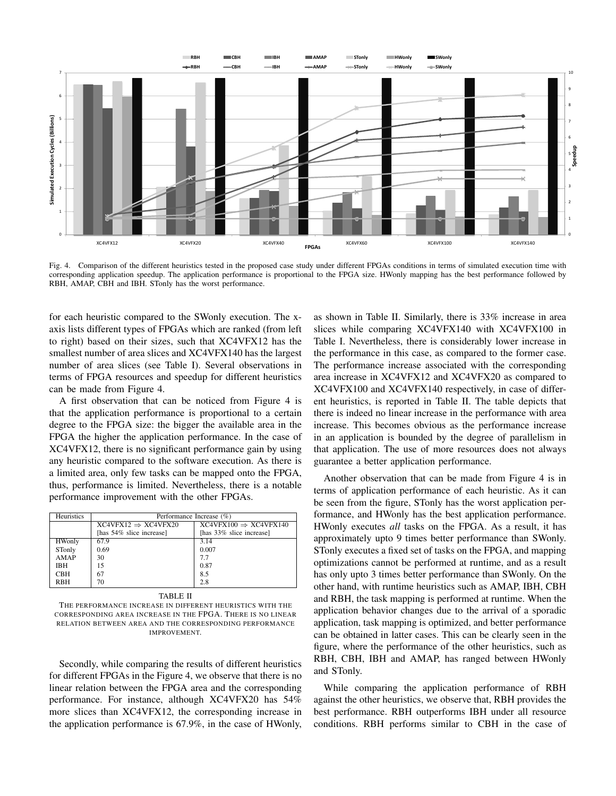

Fig. 4. Comparison of the different heuristics tested in the proposed case study under different FPGAs conditions in terms of simulated execution time with corresponding application speedup. The application performance is proportional to the FPGA size. HWonly mapping has the best performance followed by RBH, AMAP, CBH and IBH. STonly has the worst performance.

for each heuristic compared to the SWonly execution. The xaxis lists different types of FPGAs which are ranked (from left to right) based on their sizes, such that XC4VFX12 has the smallest number of area slices and XC4VFX140 has the largest number of area slices (see Table I). Several observations in terms of FPGA resources and speedup for different heuristics can be made from Figure 4.

A first observation that can be noticed from Figure 4 is that the application performance is proportional to a certain degree to the FPGA size: the bigger the available area in the FPGA the higher the application performance. In the case of XC4VFX12, there is no significant performance gain by using any heuristic compared to the software execution. As there is a limited area, only few tasks can be mapped onto the FPGA, thus, performance is limited. Nevertheless, there is a notable performance improvement with the other FPGAs.

| <b>Heuristics</b> | Performance Increase $(\%)$     |                                   |  |
|-------------------|---------------------------------|-----------------------------------|--|
|                   | $XC4VFX12 \Rightarrow XC4VFX20$ | $XC4VFX100 \Rightarrow XC4VFX140$ |  |
|                   | [has 54% slice increase]        | Thas 33% slice increasel          |  |
| <b>HWonly</b>     | 67.9                            | 3.14                              |  |
| STonly            | 0.69                            | 0.007                             |  |
| AMAP              | 30                              | 77                                |  |
| <b>IBH</b>        | 15                              | 0.87                              |  |
| <b>CBH</b>        | 67                              | 8.5                               |  |
| <b>RBH</b>        | 70                              | 2.8                               |  |

TABLE II

THE PERFORMANCE INCREASE IN DIFFERENT HEURISTICS WITH THE CORRESPONDING AREA INCREASE IN THE FPGA. THERE IS NO LINEAR RELATION BETWEEN AREA AND THE CORRESPONDING PERFORMANCE IMPROVEMENT.

Secondly, while comparing the results of different heuristics for different FPGAs in the Figure 4, we observe that there is no linear relation between the FPGA area and the corresponding performance. For instance, although XC4VFX20 has 54% more slices than XC4VFX12, the corresponding increase in the application performance is 67.9%, in the case of HWonly, as shown in Table II. Similarly, there is 33% increase in area slices while comparing XC4VFX140 with XC4VFX100 in Table I. Nevertheless, there is considerably lower increase in the performance in this case, as compared to the former case. The performance increase associated with the corresponding area increase in XC4VFX12 and XC4VFX20 as compared to XC4VFX100 and XC4VFX140 respectively, in case of different heuristics, is reported in Table II. The table depicts that there is indeed no linear increase in the performance with area increase. This becomes obvious as the performance increase in an application is bounded by the degree of parallelism in that application. The use of more resources does not always guarantee a better application performance.

Another observation that can be made from Figure 4 is in terms of application performance of each heuristic. As it can be seen from the figure, STonly has the worst application performance, and HWonly has the best application performance. HWonly executes *all* tasks on the FPGA. As a result, it has approximately upto 9 times better performance than SWonly. STonly executes a fixed set of tasks on the FPGA, and mapping optimizations cannot be performed at runtime, and as a result has only upto 3 times better performance than SWonly. On the other hand, with runtime heuristics such as AMAP, IBH, CBH and RBH, the task mapping is performed at runtime. When the application behavior changes due to the arrival of a sporadic application, task mapping is optimized, and better performance can be obtained in latter cases. This can be clearly seen in the figure, where the performance of the other heuristics, such as RBH, CBH, IBH and AMAP, has ranged between HWonly and STonly.

While comparing the application performance of RBH against the other heuristics, we observe that, RBH provides the best performance. RBH outperforms IBH under all resource conditions. RBH performs similar to CBH in the case of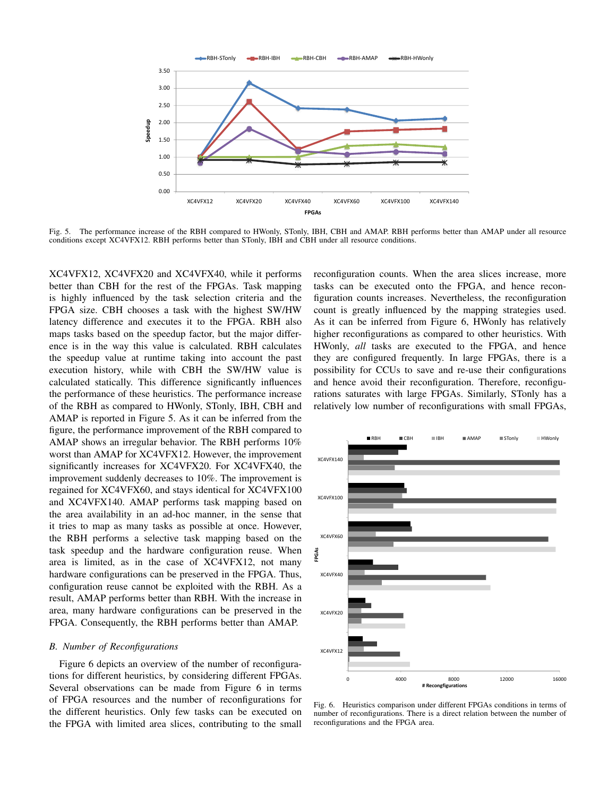

Fig. 5. The performance increase of the RBH compared to HWonly, STonly, IBH, CBH and AMAP. RBH performs better than AMAP under all resource conditions except XC4VFX12. RBH performs better than STonly, IBH and CBH under all resource conditions.

XC4VFX12, XC4VFX20 and XC4VFX40, while it performs better than CBH for the rest of the FPGAs. Task mapping is highly influenced by the task selection criteria and the FPGA size. CBH chooses a task with the highest SW/HW latency difference and executes it to the FPGA. RBH also maps tasks based on the speedup factor, but the major difference is in the way this value is calculated. RBH calculates the speedup value at runtime taking into account the past execution history, while with CBH the SW/HW value is calculated statically. This difference significantly influences the performance of these heuristics. The performance increase of the RBH as compared to HWonly, STonly, IBH, CBH and AMAP is reported in Figure 5. As it can be inferred from the figure, the performance improvement of the RBH compared to AMAP shows an irregular behavior. The RBH performs 10% worst than AMAP for XC4VFX12. However, the improvement significantly increases for XC4VFX20. For XC4VFX40, the improvement suddenly decreases to 10%. The improvement is regained for XC4VFX60, and stays identical for XC4VFX100 and XC4VFX140. AMAP performs task mapping based on the area availability in an ad-hoc manner, in the sense that it tries to map as many tasks as possible at once. However, the RBH performs a selective task mapping based on the task speedup and the hardware configuration reuse. When area is limited, as in the case of XC4VFX12, not many hardware configurations can be preserved in the FPGA. Thus, configuration reuse cannot be exploited with the RBH. As a result, AMAP performs better than RBH. With the increase in area, many hardware configurations can be preserved in the FPGA. Consequently, the RBH performs better than AMAP.

#### *B. Number of Reconfigurations*

Figure 6 depicts an overview of the number of reconfigurations for different heuristics, by considering different FPGAs. Several observations can be made from Figure 6 in terms of FPGA resources and the number of reconfigurations for the different heuristics. Only few tasks can be executed on the FPGA with limited area slices, contributing to the small

reconfiguration counts. When the area slices increase, more tasks can be executed onto the FPGA, and hence reconfiguration counts increases. Nevertheless, the reconfiguration count is greatly influenced by the mapping strategies used. As it can be inferred from Figure 6, HWonly has relatively higher reconfigurations as compared to other heuristics. With HWonly, *all* tasks are executed to the FPGA, and hence they are configured frequently. In large FPGAs, there is a possibility for CCUs to save and re-use their configurations and hence avoid their reconfiguration. Therefore, reconfigurations saturates with large FPGAs. Similarly, STonly has a relatively low number of reconfigurations with small FPGAs,



Fig. 6. Heuristics comparison under different FPGAs conditions in terms of number of reconfigurations. There is a direct relation between the number of reconfigurations and the FPGA area.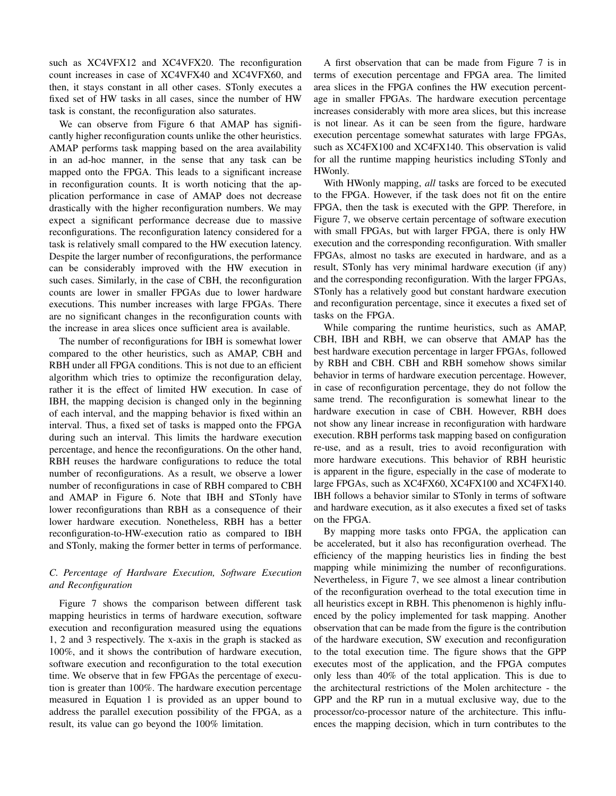such as XC4VFX12 and XC4VFX20. The reconfiguration count increases in case of XC4VFX40 and XC4VFX60, and then, it stays constant in all other cases. STonly executes a fixed set of HW tasks in all cases, since the number of HW task is constant, the reconfiguration also saturates.

We can observe from Figure 6 that AMAP has significantly higher reconfiguration counts unlike the other heuristics. AMAP performs task mapping based on the area availability in an ad-hoc manner, in the sense that any task can be mapped onto the FPGA. This leads to a significant increase in reconfiguration counts. It is worth noticing that the application performance in case of AMAP does not decrease drastically with the higher reconfiguration numbers. We may expect a significant performance decrease due to massive reconfigurations. The reconfiguration latency considered for a task is relatively small compared to the HW execution latency. Despite the larger number of reconfigurations, the performance can be considerably improved with the HW execution in such cases. Similarly, in the case of CBH, the reconfiguration counts are lower in smaller FPGAs due to lower hardware executions. This number increases with large FPGAs. There are no significant changes in the reconfiguration counts with the increase in area slices once sufficient area is available.

The number of reconfigurations for IBH is somewhat lower compared to the other heuristics, such as AMAP, CBH and RBH under all FPGA conditions. This is not due to an efficient algorithm which tries to optimize the reconfiguration delay, rather it is the effect of limited HW execution. In case of IBH, the mapping decision is changed only in the beginning of each interval, and the mapping behavior is fixed within an interval. Thus, a fixed set of tasks is mapped onto the FPGA during such an interval. This limits the hardware execution percentage, and hence the reconfigurations. On the other hand, RBH reuses the hardware configurations to reduce the total number of reconfigurations. As a result, we observe a lower number of reconfigurations in case of RBH compared to CBH and AMAP in Figure 6. Note that IBH and STonly have lower reconfigurations than RBH as a consequence of their lower hardware execution. Nonetheless, RBH has a better reconfiguration-to-HW-execution ratio as compared to IBH and STonly, making the former better in terms of performance.

# *C. Percentage of Hardware Execution, Software Execution and Reconfiguration*

Figure 7 shows the comparison between different task mapping heuristics in terms of hardware execution, software execution and reconfiguration measured using the equations 1, 2 and 3 respectively. The x-axis in the graph is stacked as 100%, and it shows the contribution of hardware execution, software execution and reconfiguration to the total execution time. We observe that in few FPGAs the percentage of execution is greater than 100%. The hardware execution percentage measured in Equation 1 is provided as an upper bound to address the parallel execution possibility of the FPGA, as a result, its value can go beyond the 100% limitation.

A first observation that can be made from Figure 7 is in terms of execution percentage and FPGA area. The limited area slices in the FPGA confines the HW execution percentage in smaller FPGAs. The hardware execution percentage increases considerably with more area slices, but this increase is not linear. As it can be seen from the figure, hardware execution percentage somewhat saturates with large FPGAs, such as XC4FX100 and XC4FX140. This observation is valid for all the runtime mapping heuristics including STonly and HWonly.

With HWonly mapping, *all* tasks are forced to be executed to the FPGA. However, if the task does not fit on the entire FPGA, then the task is executed with the GPP. Therefore, in Figure 7, we observe certain percentage of software execution with small FPGAs, but with larger FPGA, there is only HW execution and the corresponding reconfiguration. With smaller FPGAs, almost no tasks are executed in hardware, and as a result, STonly has very minimal hardware execution (if any) and the corresponding reconfiguration. With the larger FPGAs, STonly has a relatively good but constant hardware execution and reconfiguration percentage, since it executes a fixed set of tasks on the FPGA.

While comparing the runtime heuristics, such as AMAP, CBH, IBH and RBH, we can observe that AMAP has the best hardware execution percentage in larger FPGAs, followed by RBH and CBH. CBH and RBH somehow shows similar behavior in terms of hardware execution percentage. However, in case of reconfiguration percentage, they do not follow the same trend. The reconfiguration is somewhat linear to the hardware execution in case of CBH. However, RBH does not show any linear increase in reconfiguration with hardware execution. RBH performs task mapping based on configuration re-use, and as a result, tries to avoid reconfiguration with more hardware executions. This behavior of RBH heuristic is apparent in the figure, especially in the case of moderate to large FPGAs, such as XC4FX60, XC4FX100 and XC4FX140. IBH follows a behavior similar to STonly in terms of software and hardware execution, as it also executes a fixed set of tasks on the FPGA.

By mapping more tasks onto FPGA, the application can be accelerated, but it also has reconfiguration overhead. The efficiency of the mapping heuristics lies in finding the best mapping while minimizing the number of reconfigurations. Nevertheless, in Figure 7, we see almost a linear contribution of the reconfiguration overhead to the total execution time in all heuristics except in RBH. This phenomenon is highly influenced by the policy implemented for task mapping. Another observation that can be made from the figure is the contribution of the hardware execution, SW execution and reconfiguration to the total execution time. The figure shows that the GPP executes most of the application, and the FPGA computes only less than 40% of the total application. This is due to the architectural restrictions of the Molen architecture - the GPP and the RP run in a mutual exclusive way, due to the processor/co-processor nature of the architecture. This influences the mapping decision, which in turn contributes to the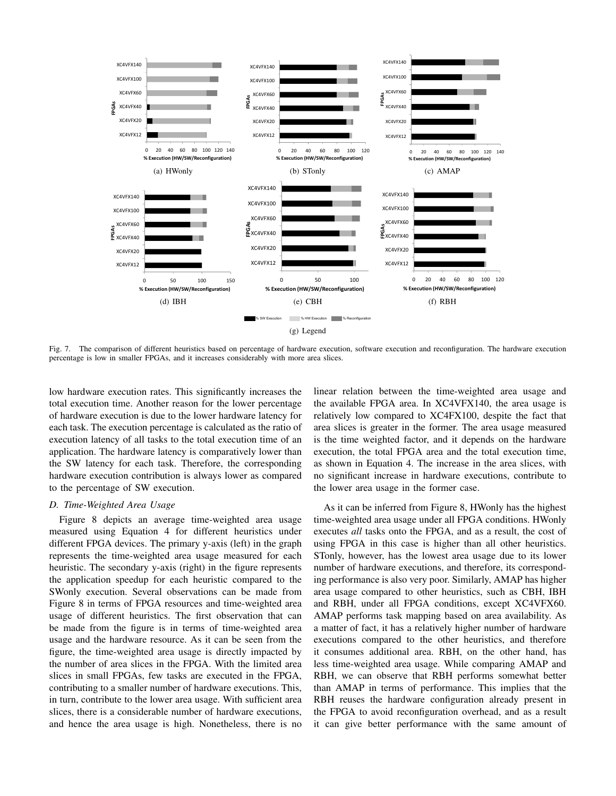

Fig. 7. The comparison of different heuristics based on percentage of hardware execution, software execution and reconfiguration. The hardware execution percentage is low in smaller FPGAs, and it increases considerably with more area slices.

low hardware execution rates. This significantly increases the total execution time. Another reason for the lower percentage of hardware execution is due to the lower hardware latency for each task. The execution percentage is calculated as the ratio of execution latency of all tasks to the total execution time of an application. The hardware latency is comparatively lower than the SW latency for each task. Therefore, the corresponding hardware execution contribution is always lower as compared to the percentage of SW execution.

## *D. Time-Weighted Area Usage*

Figure 8 depicts an average time-weighted area usage measured using Equation 4 for different heuristics under different FPGA devices. The primary y-axis (left) in the graph represents the time-weighted area usage measured for each heuristic. The secondary y-axis (right) in the figure represents the application speedup for each heuristic compared to the SWonly execution. Several observations can be made from Figure 8 in terms of FPGA resources and time-weighted area usage of different heuristics. The first observation that can be made from the figure is in terms of time-weighted area usage and the hardware resource. As it can be seen from the figure, the time-weighted area usage is directly impacted by the number of area slices in the FPGA. With the limited area slices in small FPGAs, few tasks are executed in the FPGA, contributing to a smaller number of hardware executions. This, in turn, contribute to the lower area usage. With sufficient area slices, there is a considerable number of hardware executions, and hence the area usage is high. Nonetheless, there is no linear relation between the time-weighted area usage and the available FPGA area. In XC4VFX140, the area usage is relatively low compared to XC4FX100, despite the fact that area slices is greater in the former. The area usage measured is the time weighted factor, and it depends on the hardware execution, the total FPGA area and the total execution time, as shown in Equation 4. The increase in the area slices, with no significant increase in hardware executions, contribute to the lower area usage in the former case.

As it can be inferred from Figure 8, HWonly has the highest time-weighted area usage under all FPGA conditions. HWonly executes *all* tasks onto the FPGA, and as a result, the cost of using FPGA in this case is higher than all other heuristics. STonly, however, has the lowest area usage due to its lower number of hardware executions, and therefore, its corresponding performance is also very poor. Similarly, AMAP has higher area usage compared to other heuristics, such as CBH, IBH and RBH, under all FPGA conditions, except XC4VFX60. AMAP performs task mapping based on area availability. As a matter of fact, it has a relatively higher number of hardware executions compared to the other heuristics, and therefore it consumes additional area. RBH, on the other hand, has less time-weighted area usage. While comparing AMAP and RBH, we can observe that RBH performs somewhat better than AMAP in terms of performance. This implies that the RBH reuses the hardware configuration already present in the FPGA to avoid reconfiguration overhead, and as a result it can give better performance with the same amount of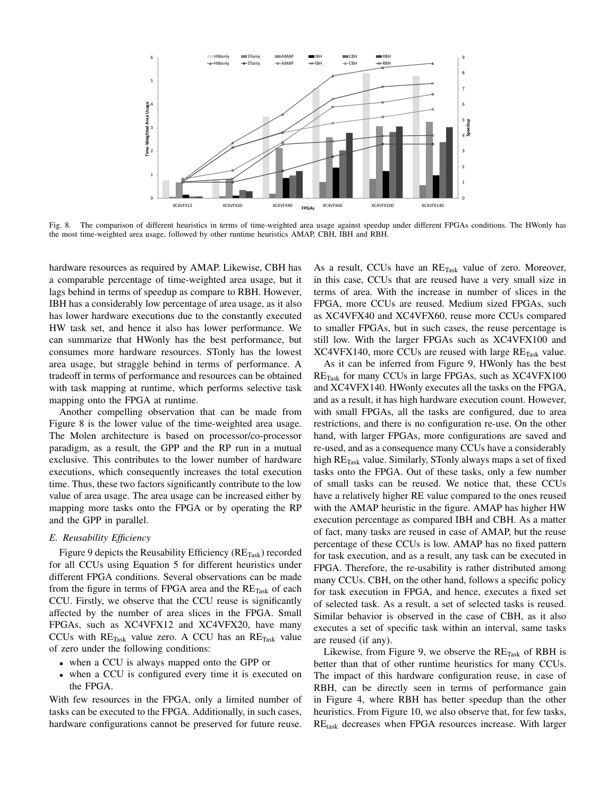

Fig. 8. The comparison of different heuristics in terms of time-weighted area usage against speedup under different FPGAs conditions. The HWonly has the most time-weighted area usage, followed by other runtime heuristics AMAP, CBH, IBH and RBH.

hardware resources as required by AMAP. Likewise, CBH has a comparable percentage of time-weighted area usage, but it lags behind in terms of speedup as compare to RBH. However, IBH has a considerably low percentage of area usage, as it also has lower hardware executions due to the constantly executed HW task set, and hence it also has lower performance. We can summarize that HWonly has the best performance, but consumes more hardware resources. STonly has the lowest area usage, but straggle behind in terms of performance. A tradeoff in terms of performance and resources can be obtained with task mapping at runtime, which performs selective task mapping onto the FPGA at runtime.

Another compelling observation that can be made from Figure 8 is the lower value of the time-weighted area usage. The Molen architecture is based on processor/co-processor paradigm, as a result, the GPP and the RP run in a mutual exclusive. This contributes to the lower number of hardware executions, which consequently increases the total execution time. Thus, these two factors significantly contribute to the low value of area usage. The area usage can be increased either by mapping more tasks onto the FPGA or by operating the RP and the GPP in parallel.

#### *E. Reusability Efficiency*

Figure 9 depicts the Reusability Efficiency ( $RE$ <sub>Task</sub>) recorded for all CCUs using Equation 5 for different heuristics under different FPGA conditions. Several observations can be made from the figure in terms of FPGA area and the  $RE$ <sub>Task</sub> of each CCU. Firstly, we observe that the CCU reuse is significantly affected by the number of area slices in the FPGA. Small FPGAs, such as XC4VFX12 and XC4VFX20, have many CCUs with  $RE$ <sub>Task</sub> value zero. A CCU has an  $RE$ <sub>Task</sub> value of zero under the following conditions:

- when a CCU is always mapped onto the GPP or
- when a CCU is configured every time it is executed on the FPGA.

With few resources in the FPGA, only a limited number of tasks can be executed to the FPGA. Additionally, in such cases, hardware configurations cannot be preserved for future reuse. As a result, CCUs have an  $RE$ <sub>Task</sub> value of zero. Moreover, in this case, CCUs that are reused have a very small size in terms of area. With the increase in number of slices in the FPGA, more CCUs are reused. Medium sized FPGAs, such as XC4VFX40 and XC4VFX60, reuse more CCUs compared to smaller FPGAs, but in such cases, the reuse percentage is still low. With the larger FPGAs such as XC4VFX100 and  $XC4VFX140$ , more CCUs are reused with large  $RE$ <sub>Task</sub> value.

As it can be inferred from Figure 9, HWonly has the best  $RE$ <sub>Task</sub> for many CCUs in large FPGAs, such as  $XC4VFX100$ and XC4VFX140. HWonly executes all the tasks on the FPGA, and as a result, it has high hardware execution count. However, with small FPGAs, all the tasks are configured, due to area restrictions, and there is no configuration re-use. On the other hand, with larger FPGAs, more configurations are saved and re-used, and as a consequence many CCUs have a considerably high  $RE<sub>Task</sub>$  value. Similarly, STonly always maps a set of fixed tasks onto the FPGA. Out of these tasks, only a few number of small tasks can be reused. We notice that, these CCUs have a relatively higher RE value compared to the ones reused with the AMAP heuristic in the figure. AMAP has higher HW execution percentage as compared IBH and CBH. As a matter of fact, many tasks are reused in case of AMAP, but the reuse percentage of these CCUs is low. AMAP has no fixed pattern for task execution, and as a result, any task can be executed in FPGA. Therefore, the re-usability is rather distributed among many CCUs. CBH, on the other hand, follows a specific policy for task execution in FPGA, and hence, executes a fixed set of selected task. As a result, a set of selected tasks is reused. Similar behavior is observed in the case of CBH, as it also executes a set of specific task within an interval, same tasks are reused (if any).

Likewise, from Figure 9, we observe the  $RE<sub>Task</sub>$  of RBH is better than that of other runtime heuristics for many CCUs. The impact of this hardware configuration reuse, in case of RBH, can be directly seen in terms of performance gain in Figure 4, where RBH has better speedup than the other heuristics. From Figure 10, we also observe that, for few tasks, REtask decreases when FPGA resources increase. With larger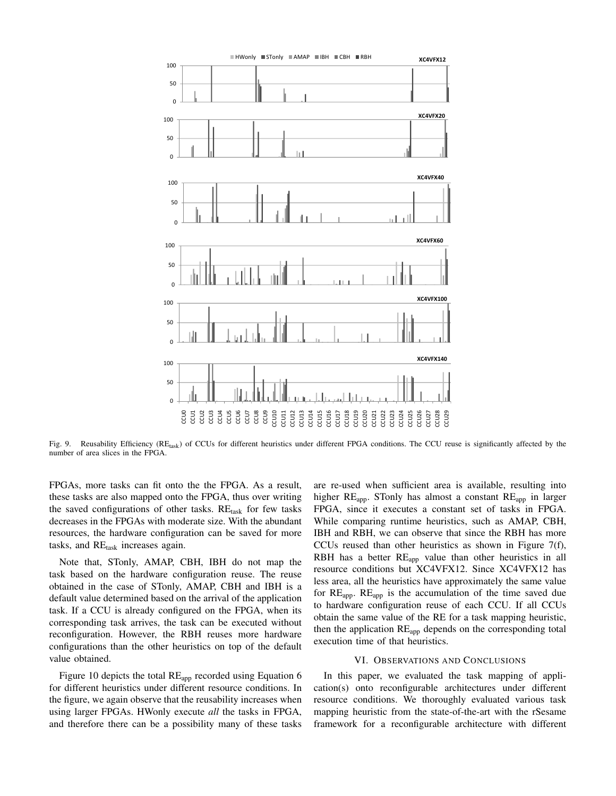

Fig. 9. Reusability Efficiency (REtask) of CCUs for different heuristics under different FPGA conditions. The CCU reuse is significantly affected by the number of area slices in the FPGA.

FPGAs, more tasks can fit onto the the FPGA. As a result, these tasks are also mapped onto the FPGA, thus over writing the saved configurations of other tasks.  $RE$ <sub>task</sub> for few tasks decreases in the FPGAs with moderate size. With the abundant resources, the hardware configuration can be saved for more tasks, and  $RE$ <sub>task</sub> increases again.

Note that, STonly, AMAP, CBH, IBH do not map the task based on the hardware configuration reuse. The reuse obtained in the case of STonly, AMAP, CBH and IBH is a default value determined based on the arrival of the application task. If a CCU is already configured on the FPGA, when its corresponding task arrives, the task can be executed without reconfiguration. However, the RBH reuses more hardware configurations than the other heuristics on top of the default value obtained.

Figure 10 depicts the total  $RE_{app}$  recorded using Equation 6 for different heuristics under different resource conditions. In the figure, we again observe that the reusability increases when using larger FPGAs. HWonly execute *all* the tasks in FPGA, and therefore there can be a possibility many of these tasks

are re-used when sufficient area is available, resulting into higher  $RE_{app}$ . STonly has almost a constant  $RE_{app}$  in larger FPGA, since it executes a constant set of tasks in FPGA. While comparing runtime heuristics, such as AMAP, CBH, IBH and RBH, we can observe that since the RBH has more CCUs reused than other heuristics as shown in Figure 7(f), RBH has a better  $RE_{app}$  value than other heuristics in all resource conditions but XC4VFX12. Since XC4VFX12 has less area, all the heuristics have approximately the same value for  $RE_{app}$ .  $RE_{app}$  is the accumulation of the time saved due to hardware configuration reuse of each CCU. If all CCUs obtain the same value of the RE for a task mapping heuristic, then the application RE<sub>app</sub> depends on the corresponding total execution time of that heuristics.

#### VI. OBSERVATIONS AND CONCLUSIONS

In this paper, we evaluated the task mapping of application(s) onto reconfigurable architectures under different resource conditions. We thoroughly evaluated various task mapping heuristic from the state-of-the-art with the rSesame framework for a reconfigurable architecture with different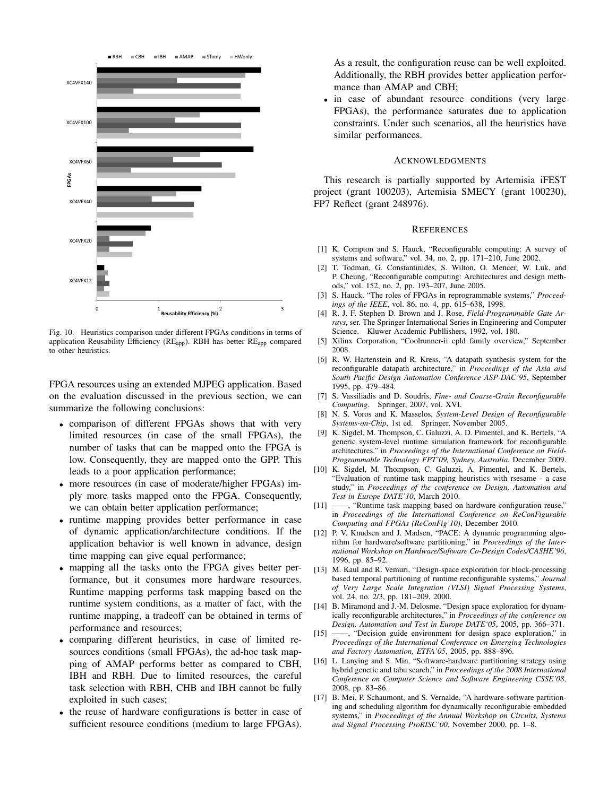

Fig. 10. Heuristics comparison under different FPGAs conditions in terms of application Reusability Efficiency (REapp). RBH has better REapp compared to other heuristics.

FPGA resources using an extended MJPEG application. Based on the evaluation discussed in the previous section, we can summarize the following conclusions:

- comparison of different FPGAs shows that with very limited resources (in case of the small FPGAs), the number of tasks that can be mapped onto the FPGA is low. Consequently, they are mapped onto the GPP. This leads to a poor application performance;
- more resources (in case of moderate/higher FPGAs) imply more tasks mapped onto the FPGA. Consequently, we can obtain better application performance;
- runtime mapping provides better performance in case of dynamic application/architecture conditions. If the application behavior is well known in advance, design time mapping can give equal performance;
- mapping all the tasks onto the FPGA gives better performance, but it consumes more hardware resources. Runtime mapping performs task mapping based on the runtime system conditions, as a matter of fact, with the runtime mapping, a tradeoff can be obtained in terms of performance and resources;
- comparing different heuristics, in case of limited resources conditions (small FPGAs), the ad-hoc task mapping of AMAP performs better as compared to CBH, IBH and RBH. Due to limited resources, the careful task selection with RBH, CHB and IBH cannot be fully exploited in such cases;
- the reuse of hardware configurations is better in case of sufficient resource conditions (medium to large FPGAs).

As a result, the configuration reuse can be well exploited. Additionally, the RBH provides better application performance than AMAP and CBH;

• in case of abundant resource conditions (very large FPGAs), the performance saturates due to application constraints. Under such scenarios, all the heuristics have similar performances.

# ACKNOWLEDGMENTS

This research is partially supported by Artemisia iFEST project (grant 100203), Artemisia SMECY (grant 100230), FP7 Reflect (grant 248976).

#### **REFERENCES**

- [1] K. Compton and S. Hauck, "Reconfigurable computing: A survey of systems and software," vol. 34, no. 2, pp. 171–210, June 2002.
- [2] T. Todman, G. Constantinides, S. Wilton, O. Mencer, W. Luk, and P. Cheung, "Reconfigurable computing: Architectures and design methods," vol. 152, no. 2, pp. 193–207, June 2005.
- [3] S. Hauck, "The roles of FPGAs in reprogrammable systems," *Proceedings of the IEEE*, vol. 86, no. 4, pp. 615–638, 1998.
- [4] R. J. F. Stephen D. Brown and J. Rose, *Field-Programmable Gate Arrays*, ser. The Springer International Series in Engineering and Computer Science. Kluwer Academic Publlishers, 1992, vol. 180.
- [5] Xilinx Corporation, "Coolrunner-ii cpld family overview," September 2008.
- [6] R. W. Hartenstein and R. Kress, "A datapath synthesis system for the reconfigurable datapath architecture," in *Proceedings of the Asia and South Pacific Design Automation Conference ASP-DAC'95*, September 1995, pp. 479–484.
- [7] S. Vassiliadis and D. Soudris, *Fine- and Coarse-Grain Reconfigurable Computing*. Springer, 2007, vol. XVI.
- [8] N. S. Voros and K. Masselos, *System-Level Design of Reconfigurable Systems-on-Chip*, 1st ed. Springer, November 2005.
- [9] K. Sigdel, M. Thompson, C. Galuzzi, A. D. Pimentel, and K. Bertels, "A generic system-level runtime simulation framework for reconfigurable architectures," in *Proceedings of the International Conference on Field-Programmable Technology FPT'09, Sydney, Australia*, December 2009.
- [10] K. Sigdel, M. Thompson, C. Galuzzi, A. Pimentel, and K. Bertels, "Evaluation of runtime task mapping heuristics with rsesame - a case study," in *Proceedings of the conference on Design, Automation and Test in Europe DATE'10*, March 2010.
- [11] ——, "Runtime task mapping based on hardware configuration reuse," in *Proceedings of the International Conference on ReConFigurable Computing and FPGAs (ReConFig'10)*, December 2010.
- [12] P. V. Knudsen and J. Madsen, "PACE: A dynamic programming algorithm for hardware/software partitioning," in *Proceedings of the International Workshop on Hardware/Software Co-Design Codes/CASHE'96*, 1996, pp. 85–92.
- [13] M. Kaul and R. Vemuri, "Design-space exploration for block-processing based temporal partitioning of runtime reconfigurable systems," *Journal of Very Large Scale Integration (VLSI) Signal Processing Systems*, vol. 24, no. 2/3, pp. 181–209, 2000.
- [14] B. Miramond and J.-M. Delosme, "Design space exploration for dynamically reconfigurable architectures," in *Proceedings of the conference on Design, Automation and Test in Europe DATE'05*, 2005, pp. 366–371.
- -, "Decision guide environment for design space exploration," in *Proceedings of the International Conference on Emerging Technologies and Factory Automation, ETFA'05*, 2005, pp. 888–896.
- [16] L. Lanying and S. Min, "Software-hardware partitioning strategy using hybrid genetic and tabu search," in *Proceedings of the 2008 International Conference on Computer Science and Software Engineering CSSE'08*, 2008, pp. 83–86.
- [17] B. Mei, P. Schaumont, and S. Vernalde, "A hardware-software partitioning and scheduling algorithm for dynamically reconfigurable embedded systems," in *Proceedings of the Annual Workshop on Circuits, Systems and Signal Processing ProRISC'00*, November 2000, pp. 1–8.